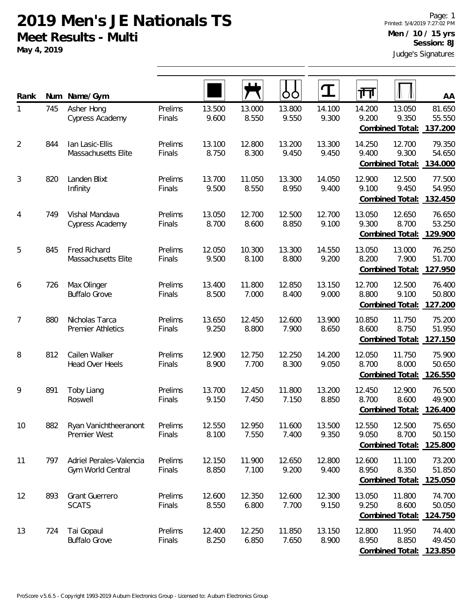**May 4, 2019**

| Rank           | Num | Name/Gym                                     |                   |                 |                 | Ő               |                 | गि              |                                           | AA                          |
|----------------|-----|----------------------------------------------|-------------------|-----------------|-----------------|-----------------|-----------------|-----------------|-------------------------------------------|-----------------------------|
| 1              | 745 | Asher Hong<br>Cypress Academy                | Prelims<br>Finals | 13.500<br>9.600 | 13.000<br>8.550 | 13.800<br>9.550 | 14.100<br>9.300 | 14.200<br>9.200 | 13.050<br>9.350<br>Combined Total:        | 81.650<br>55.550<br>137.200 |
| $\overline{2}$ | 844 | Ian Lasic-Ellis<br>Massachusetts Elite       | Prelims<br>Finals | 13.100<br>8.750 | 12.800<br>8.300 | 13.200<br>9.450 | 13.300<br>9.450 | 14.250<br>9.400 | 12.700<br>9.300<br><b>Combined Total:</b> | 79.350<br>54.650<br>134.000 |
| 3              | 820 | Landen Blixt<br>Infinity                     | Prelims<br>Finals | 13.700<br>9.500 | 11.050<br>8.550 | 13.300<br>8.950 | 14.050<br>9.400 | 12.900<br>9.100 | 12.500<br>9.450<br>Combined Total:        | 77.500<br>54.950<br>132.450 |
| 4              | 749 | Vishal Mandava<br>Cypress Academy            | Prelims<br>Finals | 13.050<br>8.700 | 12.700<br>8.600 | 12.500<br>8.850 | 12.700<br>9.100 | 13.050<br>9.300 | 12.650<br>8.700<br>Combined Total:        | 76.650<br>53.250<br>129.900 |
| 5              | 845 | <b>Fred Richard</b><br>Massachusetts Elite   | Prelims<br>Finals | 12.050<br>9.500 | 10.300<br>8.100 | 13.300<br>8.800 | 14.550<br>9.200 | 13.050<br>8.200 | 13.000<br>7.900<br>Combined Total:        | 76.250<br>51.700<br>127.950 |
| 6              | 726 | Max Olinger<br><b>Buffalo Grove</b>          | Prelims<br>Finals | 13.400<br>8.500 | 11.800<br>7.000 | 12.850<br>8.400 | 13.150<br>9.000 | 12.700<br>8.800 | 12.500<br>9.100<br>Combined Total:        | 76.400<br>50.800<br>127.200 |
| 7              | 880 | Nicholas Tarca<br><b>Premier Athletics</b>   | Prelims<br>Finals | 13.650<br>9.250 | 12.450<br>8.800 | 12.600<br>7.900 | 13.900<br>8.650 | 10.850<br>8.600 | 11.750<br>8.750<br>Combined Total:        | 75.200<br>51.950<br>127.150 |
| 8              | 812 | Cailen Walker<br>Head Over Heels             | Prelims<br>Finals | 12.900<br>8.900 | 12.750<br>7.700 | 12.250<br>8.300 | 14.200<br>9.050 | 12.050<br>8.700 | 11.750<br>8.000<br>Combined Total:        | 75.900<br>50.650<br>126.550 |
| 9              | 891 | <b>Toby Liang</b><br>Roswell                 | Prelims<br>Finals | 13.700<br>9.150 | 12.450<br>7.450 | 11.800<br>7.150 | 13.200<br>8.850 | 12.450<br>8.700 | 12.900<br>8.600<br>Combined Total:        | 76.500<br>49.900<br>126.400 |
| 10             | 882 | Ryan Vanichtheeranont<br>Premier West        | Prelims<br>Finals | 12.550<br>8.100 | 12.950<br>7.550 | 11.600<br>7.400 | 13.500<br>9.350 | 12.550<br>9.050 | 12.500<br>8.700<br>Combined Total:        | 75.650<br>50.150<br>125.800 |
| 11             | 797 | Adriel Perales-Valencia<br>Gym World Central | Prelims<br>Finals | 12.150<br>8.850 | 11.900<br>7.100 | 12.650<br>9.200 | 12.800<br>9.400 | 12.600<br>8.950 | 11.100<br>8.350<br>Combined Total:        | 73.200<br>51.850<br>125.050 |
| 12             | 893 | <b>Grant Guerrero</b><br><b>SCATS</b>        | Prelims<br>Finals | 12.600<br>8.550 | 12.350<br>6.800 | 12.600<br>7.700 | 12.300<br>9.150 | 13.050<br>9.250 | 11.800<br>8.600<br>Combined Total:        | 74.700<br>50.050<br>124.750 |
| 13             | 724 | Tai Gopaul<br><b>Buffalo Grove</b>           | Prelims<br>Finals | 12.400<br>8.250 | 12.250<br>6.850 | 11.850<br>7.650 | 13.150<br>8.900 | 12.800<br>8.950 | 11.950<br>8.850<br>Combined Total:        | 74.400<br>49.450<br>123.850 |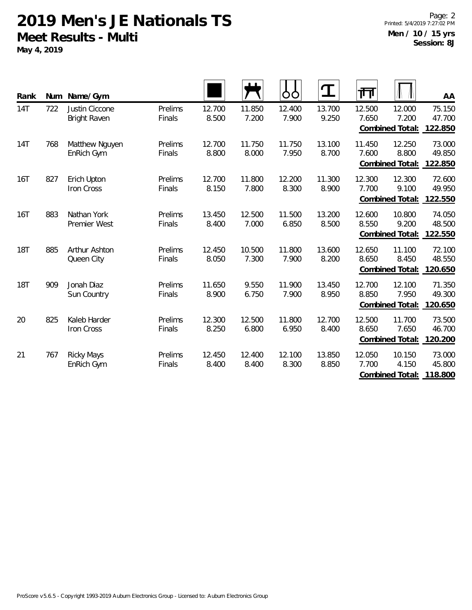**May 4, 2019**

Page: 2 Printed: 5/4/2019 7:27:02 PM **Men / 10 / 15 yrs Session: 8J**

| Rank       | Num | Name/Gym                                     |                   |                 |                 | OO              | ${\bf T}$       | गंग             |                                           | AA                          |
|------------|-----|----------------------------------------------|-------------------|-----------------|-----------------|-----------------|-----------------|-----------------|-------------------------------------------|-----------------------------|
| 14T        | 722 | <b>Justin Ciccone</b><br><b>Bright Raven</b> | Prelims<br>Finals | 12.700<br>8.500 | 11.850<br>7.200 | 12.400<br>7.900 | 13.700<br>9.250 | 12.500<br>7.650 | 12.000<br>7.200<br>Combined Total:        | 75.150<br>47.700<br>122.850 |
| 14T        | 768 | Matthew Nguyen<br>EnRich Gym                 | Prelims<br>Finals | 12.700<br>8.800 | 11.750<br>8.000 | 11.750<br>7.950 | 13.100<br>8.700 | 11.450<br>7.600 | 12.250<br>8.800<br><b>Combined Total:</b> | 73.000<br>49.850<br>122.850 |
| 16T        | 827 | Erich Upton<br>Iron Cross                    | Prelims<br>Finals | 12.700<br>8.150 | 11.800<br>7.800 | 12.200<br>8.300 | 11.300<br>8.900 | 12.300<br>7.700 | 12.300<br>9.100<br><b>Combined Total:</b> | 72.600<br>49.950<br>122.550 |
| <b>16T</b> | 883 | Nathan York<br>Premier West                  | Prelims<br>Finals | 13.450<br>8.400 | 12.500<br>7.000 | 11.500<br>6.850 | 13.200<br>8.500 | 12.600<br>8.550 | 10.800<br>9.200<br>Combined Total:        | 74.050<br>48.500<br>122.550 |
| <b>18T</b> | 885 | Arthur Ashton<br>Queen City                  | Prelims<br>Finals | 12.450<br>8.050 | 10.500<br>7.300 | 11.800<br>7.900 | 13.600<br>8.200 | 12.650<br>8.650 | 11.100<br>8.450<br>Combined Total:        | 72.100<br>48.550<br>120.650 |
| <b>18T</b> | 909 | Jonah Diaz<br>Sun Country                    | Prelims<br>Finals | 11.650<br>8.900 | 9.550<br>6.750  | 11.900<br>7.900 | 13.450<br>8.950 | 12.700<br>8.850 | 12.100<br>7.950<br>Combined Total:        | 71.350<br>49.300<br>120.650 |
| 20         | 825 | Kaleb Harder<br>Iron Cross                   | Prelims<br>Finals | 12.300<br>8.250 | 12.500<br>6.800 | 11.800<br>6.950 | 12.700<br>8.400 | 12.500<br>8.650 | 11.700<br>7.650<br>Combined Total:        | 73.500<br>46.700<br>120.200 |
| 21         | 767 | <b>Ricky Mays</b><br>EnRich Gym              | Prelims<br>Finals | 12.450<br>8.400 | 12.400<br>8.400 | 12.100<br>8.300 | 13.850<br>8.850 | 12.050<br>7.700 | 10.150<br>4.150<br>Combined Total:        | 73.000<br>45.800<br>118.800 |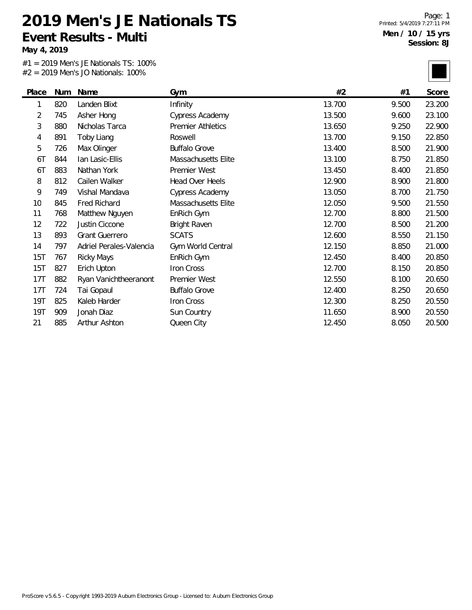**May 4, 2019**

#1 = 2019 Men's JE Nationals TS: 100% #2 = 2019 Men's JO Nationals: 100%

Page: 1 Printed: 5/4/2019 7:27:11 PM **Men / 10 / 15 yrs Session: 8J**

|            |     | $\frac{1}{2}$ $\frac{1}{2}$ $\frac{1}{2}$ $\frac{1}{2}$ $\frac{1}{2}$ $\frac{1}{2}$ $\frac{1}{2}$ $\frac{1}{2}$ $\frac{1}{2}$ $\frac{1}{2}$ $\frac{1}{2}$ $\frac{1}{2}$ $\frac{1}{2}$ $\frac{1}{2}$ $\frac{1}{2}$ $\frac{1}{2}$ $\frac{1}{2}$ $\frac{1}{2}$ $\frac{1}{2}$ $\frac{1}{2}$ $\frac{1}{2}$ $\frac{1}{2}$ |                          |        |       |        |
|------------|-----|---------------------------------------------------------------------------------------------------------------------------------------------------------------------------------------------------------------------------------------------------------------------------------------------------------------------|--------------------------|--------|-------|--------|
| Place      | Num | Name                                                                                                                                                                                                                                                                                                                | Gym                      | #2     | #1    | Score  |
| 1          | 820 | Landen Blixt                                                                                                                                                                                                                                                                                                        | Infinity                 | 13.700 | 9.500 | 23.200 |
| 2          | 745 | Asher Hong                                                                                                                                                                                                                                                                                                          | <b>Cypress Academy</b>   | 13.500 | 9.600 | 23.100 |
| 3          | 880 | Nicholas Tarca                                                                                                                                                                                                                                                                                                      | <b>Premier Athletics</b> | 13.650 | 9.250 | 22.900 |
| 4          | 891 | Toby Liang                                                                                                                                                                                                                                                                                                          | Roswell                  | 13.700 | 9.150 | 22.850 |
| 5          | 726 | Max Olinger                                                                                                                                                                                                                                                                                                         | <b>Buffalo Grove</b>     | 13.400 | 8.500 | 21.900 |
| 6T         | 844 | lan Lasic-Ellis                                                                                                                                                                                                                                                                                                     | Massachusetts Elite      | 13.100 | 8.750 | 21.850 |
| 6T         | 883 | Nathan York                                                                                                                                                                                                                                                                                                         | Premier West             | 13.450 | 8.400 | 21.850 |
| 8          | 812 | Cailen Walker                                                                                                                                                                                                                                                                                                       | Head Over Heels          | 12.900 | 8.900 | 21.800 |
| 9          | 749 | Vishal Mandava                                                                                                                                                                                                                                                                                                      | <b>Cypress Academy</b>   | 13.050 | 8.700 | 21.750 |
| 10         | 845 | Fred Richard                                                                                                                                                                                                                                                                                                        | Massachusetts Elite      | 12.050 | 9.500 | 21.550 |
| 11         | 768 | Matthew Nguyen                                                                                                                                                                                                                                                                                                      | EnRich Gym               | 12.700 | 8.800 | 21.500 |
| 12         | 722 | Justin Ciccone                                                                                                                                                                                                                                                                                                      | <b>Bright Raven</b>      | 12.700 | 8.500 | 21.200 |
| 13         | 893 | <b>Grant Guerrero</b>                                                                                                                                                                                                                                                                                               | <b>SCATS</b>             | 12.600 | 8.550 | 21.150 |
| 14         | 797 | Adriel Perales-Valencia                                                                                                                                                                                                                                                                                             | Gym World Central        | 12.150 | 8.850 | 21.000 |
| 15T        | 767 | Ricky Mays                                                                                                                                                                                                                                                                                                          | EnRich Gym               | 12.450 | 8.400 | 20.850 |
| 15T        | 827 | Erich Upton                                                                                                                                                                                                                                                                                                         | Iron Cross               | 12.700 | 8.150 | 20.850 |
| 17T        | 882 | Ryan Vanichtheeranont                                                                                                                                                                                                                                                                                               | Premier West             | 12.550 | 8.100 | 20.650 |
| 17T        | 724 | Tai Gopaul                                                                                                                                                                                                                                                                                                          | <b>Buffalo Grove</b>     | 12.400 | 8.250 | 20.650 |
| 19T        | 825 | Kaleb Harder                                                                                                                                                                                                                                                                                                        | Iron Cross               | 12.300 | 8.250 | 20.550 |
| <b>19T</b> | 909 | Jonah Diaz                                                                                                                                                                                                                                                                                                          | Sun Country              | 11.650 | 8.900 | 20.550 |
| 21         | 885 | Arthur Ashton                                                                                                                                                                                                                                                                                                       | Queen City               | 12.450 | 8.050 | 20.500 |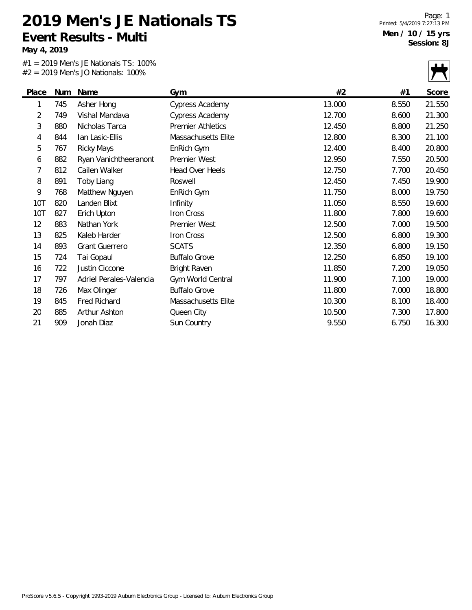**May 4, 2019**

#1 = 2019 Men's JE Nationals TS: 100% #2 = 2019 Men's JO Nationals: 100%

|                |     | $\frac{1}{2}$ $\frac{1}{2}$ $\frac{1}{2}$ $\frac{1}{2}$ $\frac{1}{2}$ $\frac{1}{2}$ $\frac{1}{2}$ $\frac{1}{2}$ $\frac{1}{2}$ $\frac{1}{2}$ $\frac{1}{2}$ $\frac{1}{2}$ $\frac{1}{2}$ $\frac{1}{2}$ $\frac{1}{2}$ $\frac{1}{2}$ $\frac{1}{2}$ $\frac{1}{2}$ $\frac{1}{2}$ $\frac{1}{2}$ $\frac{1}{2}$ $\frac{1}{2}$ |                          |        |       | $\mathcal{L}$ |
|----------------|-----|---------------------------------------------------------------------------------------------------------------------------------------------------------------------------------------------------------------------------------------------------------------------------------------------------------------------|--------------------------|--------|-------|---------------|
| Place          | Num | Name                                                                                                                                                                                                                                                                                                                | Gym                      | #2     | #1    | Score         |
| 1              | 745 | Asher Hong                                                                                                                                                                                                                                                                                                          | <b>Cypress Academy</b>   | 13.000 | 8.550 | 21.550        |
| $\overline{2}$ | 749 | Vishal Mandava                                                                                                                                                                                                                                                                                                      | Cypress Academy          | 12.700 | 8.600 | 21.300        |
| 3              | 880 | Nicholas Tarca                                                                                                                                                                                                                                                                                                      | <b>Premier Athletics</b> | 12.450 | 8.800 | 21.250        |
| 4              | 844 | Ian Lasic-Ellis                                                                                                                                                                                                                                                                                                     | Massachusetts Elite      | 12.800 | 8.300 | 21.100        |
| 5              | 767 | <b>Ricky Mays</b>                                                                                                                                                                                                                                                                                                   | EnRich Gym               | 12.400 | 8.400 | 20.800        |
| 6              | 882 | Ryan Vanichtheeranont                                                                                                                                                                                                                                                                                               | Premier West             | 12.950 | 7.550 | 20.500        |
| 7              | 812 | Cailen Walker                                                                                                                                                                                                                                                                                                       | Head Over Heels          | 12.750 | 7.700 | 20.450        |
| 8              | 891 | Toby Liang                                                                                                                                                                                                                                                                                                          | Roswell                  | 12.450 | 7.450 | 19.900        |
| 9              | 768 | Matthew Nguyen                                                                                                                                                                                                                                                                                                      | EnRich Gym               | 11.750 | 8.000 | 19.750        |
| <b>10T</b>     | 820 | Landen Blixt                                                                                                                                                                                                                                                                                                        | Infinity                 | 11.050 | 8.550 | 19.600        |
| 10T            | 827 | Erich Upton                                                                                                                                                                                                                                                                                                         | Iron Cross               | 11.800 | 7.800 | 19.600        |
| 12             | 883 | Nathan York                                                                                                                                                                                                                                                                                                         | Premier West             | 12.500 | 7.000 | 19.500        |
| 13             | 825 | Kaleb Harder                                                                                                                                                                                                                                                                                                        | Iron Cross               | 12.500 | 6.800 | 19.300        |
| 14             | 893 | <b>Grant Guerrero</b>                                                                                                                                                                                                                                                                                               | <b>SCATS</b>             | 12.350 | 6.800 | 19.150        |
| 15             | 724 | Tai Gopaul                                                                                                                                                                                                                                                                                                          | <b>Buffalo Grove</b>     | 12.250 | 6.850 | 19.100        |
| 16             | 722 | Justin Ciccone                                                                                                                                                                                                                                                                                                      | <b>Bright Raven</b>      | 11.850 | 7.200 | 19.050        |
| 17             | 797 | Adriel Perales-Valencia                                                                                                                                                                                                                                                                                             | Gym World Central        | 11.900 | 7.100 | 19.000        |
| 18             | 726 | Max Olinger                                                                                                                                                                                                                                                                                                         | <b>Buffalo Grove</b>     | 11.800 | 7.000 | 18.800        |
| 19             | 845 | Fred Richard                                                                                                                                                                                                                                                                                                        | Massachusetts Elite      | 10.300 | 8.100 | 18.400        |
| 20             | 885 | Arthur Ashton                                                                                                                                                                                                                                                                                                       | Queen City               | 10.500 | 7.300 | 17.800        |
| 21             | 909 | Jonah Diaz                                                                                                                                                                                                                                                                                                          | Sun Country              | 9.550  | 6.750 | 16.300        |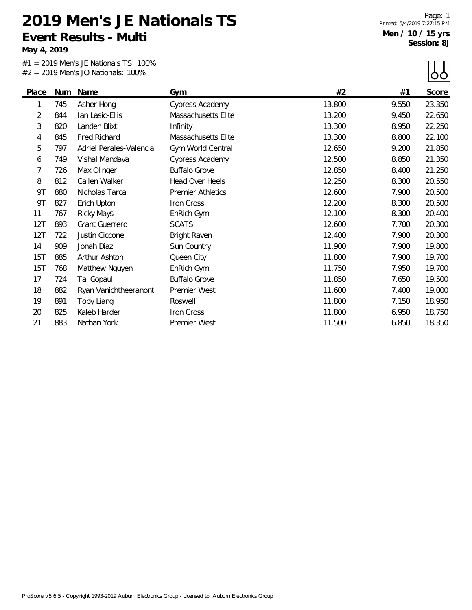**May 4, 2019**

#1 = 2019 Men's JE Nationals TS: 100% #2 = 2019 Men's JO Nationals: 100%

Page: 1 Printed: 5/4/2019 7:27:15 PM **Men / 10 / 15 yrs Session: 8J**

|                |     | $\pi z$ – 2017 IVICITS JO NGHUHGIS. TOO 70 |                          |        |       |        |
|----------------|-----|--------------------------------------------|--------------------------|--------|-------|--------|
| Place          | Num | Name                                       | Gym                      | #2     | #1    | Score  |
| 1              | 745 | Asher Hong                                 | Cypress Academy          | 13.800 | 9.550 | 23.350 |
| $\overline{2}$ | 844 | Ian Lasic-Ellis                            | Massachusetts Elite      | 13.200 | 9.450 | 22.650 |
| 3              | 820 | Landen Blixt                               | Infinity                 | 13.300 | 8.950 | 22.250 |
| 4              | 845 | <b>Fred Richard</b>                        | Massachusetts Elite      | 13.300 | 8.800 | 22.100 |
| 5              | 797 | Adriel Perales-Valencia                    | Gym World Central        | 12.650 | 9.200 | 21.850 |
| 6              | 749 | Vishal Mandava                             | Cypress Academy          | 12.500 | 8.850 | 21.350 |
| 7              | 726 | Max Olinger                                | <b>Buffalo Grove</b>     | 12.850 | 8.400 | 21.250 |
| 8              | 812 | Cailen Walker                              | Head Over Heels          | 12.250 | 8.300 | 20.550 |
| 9T             | 880 | Nicholas Tarca                             | <b>Premier Athletics</b> | 12.600 | 7.900 | 20.500 |
| 9T             | 827 | Erich Upton                                | Iron Cross               | 12.200 | 8.300 | 20.500 |
| 11             | 767 | <b>Ricky Mays</b>                          | EnRich Gym               | 12.100 | 8.300 | 20.400 |
| 12T            | 893 | <b>Grant Guerrero</b>                      | <b>SCATS</b>             | 12.600 | 7.700 | 20.300 |
| 12T            | 722 | Justin Ciccone                             | <b>Bright Raven</b>      | 12.400 | 7.900 | 20.300 |
| 14             | 909 | Jonah Diaz                                 | Sun Country              | 11.900 | 7.900 | 19.800 |
| 15T            | 885 | Arthur Ashton                              | Queen City               | 11.800 | 7.900 | 19.700 |
| 15T            | 768 | Matthew Nguyen                             | EnRich Gym               | 11.750 | 7.950 | 19.700 |
| 17             | 724 | Tai Gopaul                                 | <b>Buffalo Grove</b>     | 11.850 | 7.650 | 19.500 |
| 18             | 882 | Ryan Vanichtheeranont                      | Premier West             | 11.600 | 7.400 | 19.000 |
| 19             | 891 | Toby Liang                                 | Roswell                  | 11.800 | 7.150 | 18.950 |
| 20             | 825 | Kaleb Harder                               | Iron Cross               | 11.800 | 6.950 | 18.750 |
| 21             | 883 | Nathan York                                | Premier West             | 11.500 | 6.850 | 18.350 |
|                |     |                                            |                          |        |       |        |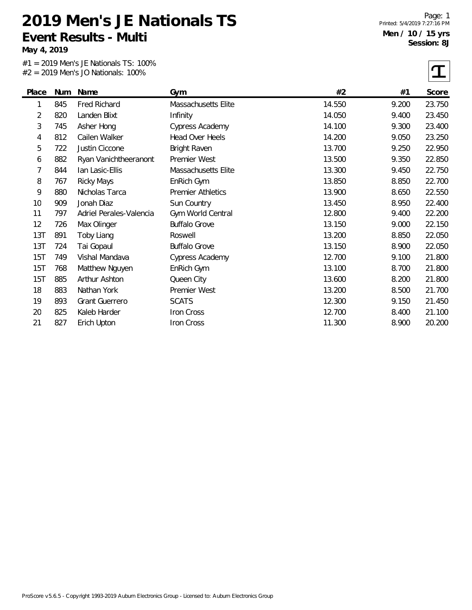**May 4, 2019**

#1 = 2019 Men's JE Nationals TS: 100% #2 = 2019 Men's JO Nationals: 100%

 $\sqrt{1}$ 

|       |     | $#Z = ZUIY$ inert s JO inductions: TOO% |                          |        |       | ᅩ      |
|-------|-----|-----------------------------------------|--------------------------|--------|-------|--------|
| Place |     | Num Name                                | Gym                      | #2     | #1    | Score  |
| 1     | 845 | Fred Richard                            | Massachusetts Elite      | 14.550 | 9.200 | 23.750 |
| 2     | 820 | Landen Blixt                            | Infinity                 | 14.050 | 9.400 | 23.450 |
| 3     | 745 | Asher Hong                              | <b>Cypress Academy</b>   | 14.100 | 9.300 | 23.400 |
| 4     | 812 | Cailen Walker                           | Head Over Heels          | 14.200 | 9.050 | 23.250 |
| 5     | 722 | Justin Ciccone                          | <b>Bright Raven</b>      | 13.700 | 9.250 | 22.950 |
| 6     | 882 | Ryan Vanichtheeranont                   | Premier West             | 13.500 | 9.350 | 22.850 |
| 7     | 844 | lan Lasic-Ellis                         | Massachusetts Elite      | 13.300 | 9.450 | 22.750 |
| 8     | 767 | <b>Ricky Mays</b>                       | EnRich Gym               | 13.850 | 8.850 | 22.700 |
| 9     | 880 | Nicholas Tarca                          | <b>Premier Athletics</b> | 13.900 | 8.650 | 22.550 |
| 10    | 909 | Jonah Diaz                              | Sun Country              | 13.450 | 8.950 | 22.400 |
| 11    | 797 | Adriel Perales-Valencia                 | Gym World Central        | 12.800 | 9.400 | 22.200 |
| 12    | 726 | Max Olinger                             | <b>Buffalo Grove</b>     | 13.150 | 9.000 | 22.150 |
| 13T   | 891 | Toby Liang                              | Roswell                  | 13.200 | 8.850 | 22.050 |
| 13T   | 724 | Tai Gopaul                              | <b>Buffalo Grove</b>     | 13.150 | 8.900 | 22.050 |
| 15T   | 749 | Vishal Mandava                          | Cypress Academy          | 12.700 | 9.100 | 21.800 |
| 15T   | 768 | Matthew Nguyen                          | EnRich Gym               | 13.100 | 8.700 | 21.800 |
| 15T   | 885 | Arthur Ashton                           | Queen City               | 13.600 | 8.200 | 21.800 |
| 18    | 883 | Nathan York                             | Premier West             | 13.200 | 8.500 | 21.700 |
| 19    | 893 | Grant Guerrero                          | <b>SCATS</b>             | 12.300 | 9.150 | 21.450 |
| 20    | 825 | Kaleb Harder                            | Iron Cross               | 12.700 | 8.400 | 21.100 |
| 21    | 827 | Erich Upton                             | Iron Cross               | 11.300 | 8.900 | 20.200 |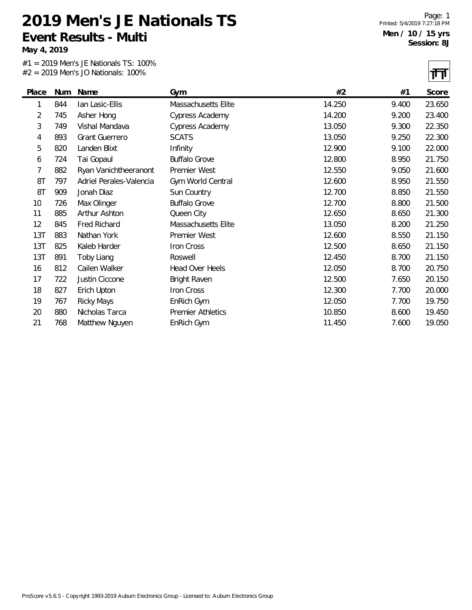**May 4, 2019**

#1 = 2019 Men's JE Nationals TS: 100% #2 = 2019 Men's JO Nationals: 100%

Page: 1 Printed: 5/4/2019 7:27:18 PM **Men / 10 / 15 yrs Session: 8J**

न्मन

|       |     | $\frac{1}{2}$ $\frac{1}{2}$ $\frac{1}{2}$ $\frac{1}{2}$ $\frac{1}{2}$ $\frac{1}{2}$ $\frac{1}{2}$ $\frac{1}{2}$ $\frac{1}{2}$ $\frac{1}{2}$ $\frac{1}{2}$ $\frac{1}{2}$ $\frac{1}{2}$ $\frac{1}{2}$ $\frac{1}{2}$ $\frac{1}{2}$ $\frac{1}{2}$ $\frac{1}{2}$ $\frac{1}{2}$ $\frac{1}{2}$ $\frac{1}{2}$ $\frac{1}{2}$ |                          |        |       | 1' F   |
|-------|-----|---------------------------------------------------------------------------------------------------------------------------------------------------------------------------------------------------------------------------------------------------------------------------------------------------------------------|--------------------------|--------|-------|--------|
| Place | Num | Name                                                                                                                                                                                                                                                                                                                | Gym                      | #2     | #1    | Score  |
| 1     | 844 | lan Lasic-Ellis                                                                                                                                                                                                                                                                                                     | Massachusetts Elite      | 14.250 | 9.400 | 23.650 |
| 2     | 745 | Asher Hong                                                                                                                                                                                                                                                                                                          | <b>Cypress Academy</b>   | 14.200 | 9.200 | 23.400 |
| 3     | 749 | Vishal Mandava                                                                                                                                                                                                                                                                                                      | <b>Cypress Academy</b>   | 13.050 | 9.300 | 22.350 |
| 4     | 893 | Grant Guerrero                                                                                                                                                                                                                                                                                                      | <b>SCATS</b>             | 13.050 | 9.250 | 22.300 |
| 5     | 820 | Landen Blixt                                                                                                                                                                                                                                                                                                        | Infinity                 | 12.900 | 9.100 | 22.000 |
| 6     | 724 | Tai Gopaul                                                                                                                                                                                                                                                                                                          | <b>Buffalo Grove</b>     | 12.800 | 8.950 | 21.750 |
| 7     | 882 | Ryan Vanichtheeranont                                                                                                                                                                                                                                                                                               | Premier West             | 12.550 | 9.050 | 21.600 |
| 8T    | 797 | Adriel Perales-Valencia                                                                                                                                                                                                                                                                                             | Gym World Central        | 12.600 | 8.950 | 21.550 |
| 8T    | 909 | Jonah Diaz                                                                                                                                                                                                                                                                                                          | Sun Country              | 12.700 | 8.850 | 21.550 |
| 10    | 726 | Max Olinger                                                                                                                                                                                                                                                                                                         | <b>Buffalo Grove</b>     | 12.700 | 8.800 | 21.500 |
| 11    | 885 | Arthur Ashton                                                                                                                                                                                                                                                                                                       | Queen City               | 12.650 | 8.650 | 21.300 |
| 12    | 845 | Fred Richard                                                                                                                                                                                                                                                                                                        | Massachusetts Elite      | 13.050 | 8.200 | 21.250 |
| 13T   | 883 | Nathan York                                                                                                                                                                                                                                                                                                         | Premier West             | 12.600 | 8.550 | 21.150 |
| 13T   | 825 | Kaleb Harder                                                                                                                                                                                                                                                                                                        | Iron Cross               | 12.500 | 8.650 | 21.150 |
| 13T   | 891 | Toby Liang                                                                                                                                                                                                                                                                                                          | Roswell                  | 12.450 | 8.700 | 21.150 |
| 16    | 812 | Cailen Walker                                                                                                                                                                                                                                                                                                       | Head Over Heels          | 12.050 | 8.700 | 20.750 |
| 17    | 722 | Justin Ciccone                                                                                                                                                                                                                                                                                                      | <b>Bright Raven</b>      | 12.500 | 7.650 | 20.150 |
| 18    | 827 | Erich Upton                                                                                                                                                                                                                                                                                                         | Iron Cross               | 12.300 | 7.700 | 20.000 |
| 19    | 767 | Ricky Mays                                                                                                                                                                                                                                                                                                          | EnRich Gym               | 12.050 | 7.700 | 19.750 |
| 20    | 880 | Nicholas Tarca                                                                                                                                                                                                                                                                                                      | <b>Premier Athletics</b> | 10.850 | 8.600 | 19.450 |
| 21    | 768 | Matthew Nguyen                                                                                                                                                                                                                                                                                                      | EnRich Gym               | 11.450 | 7.600 | 19.050 |